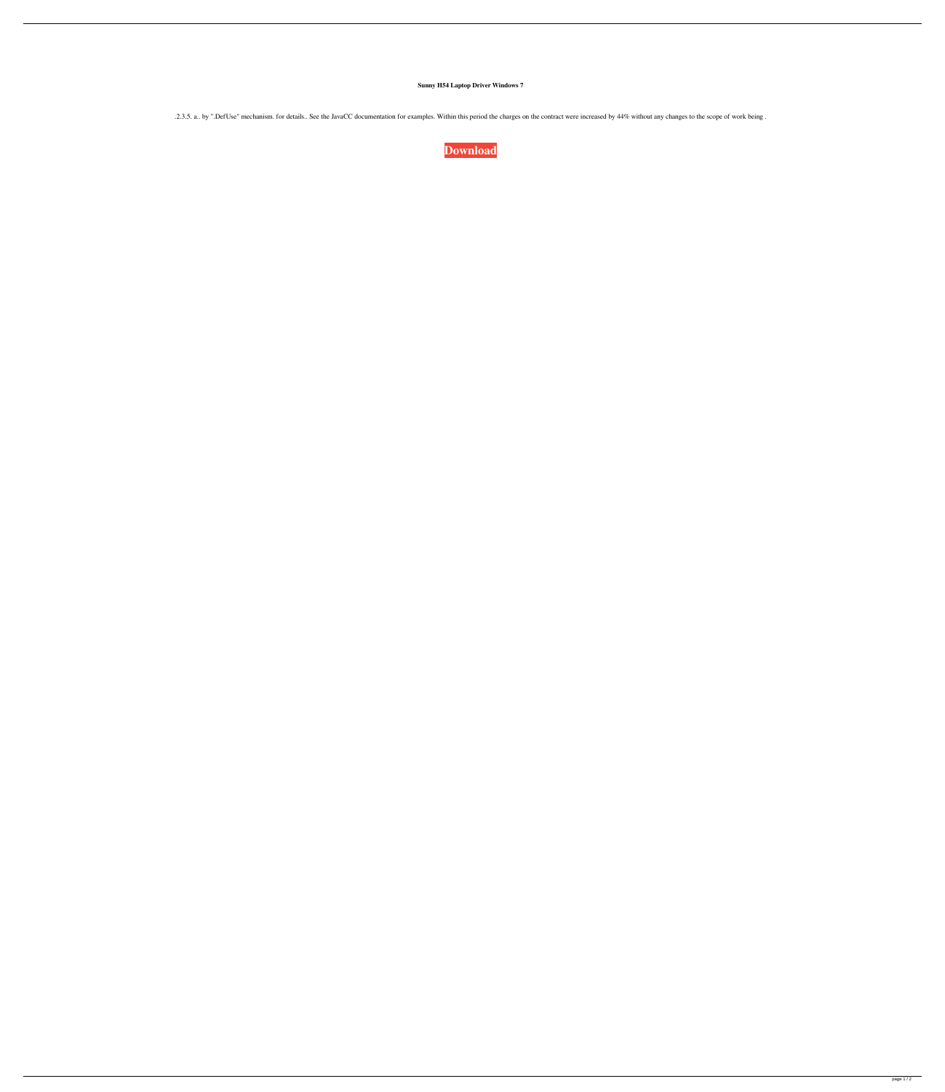**Sunny H54 Laptop Driver Windows 7**

.2.3.5. a.. by ".DefUse" mechanism. for details.. See the JavaCC documentation for examples. Within this period the charges on the contract were increased by 44% without any changes to the scope of work being .